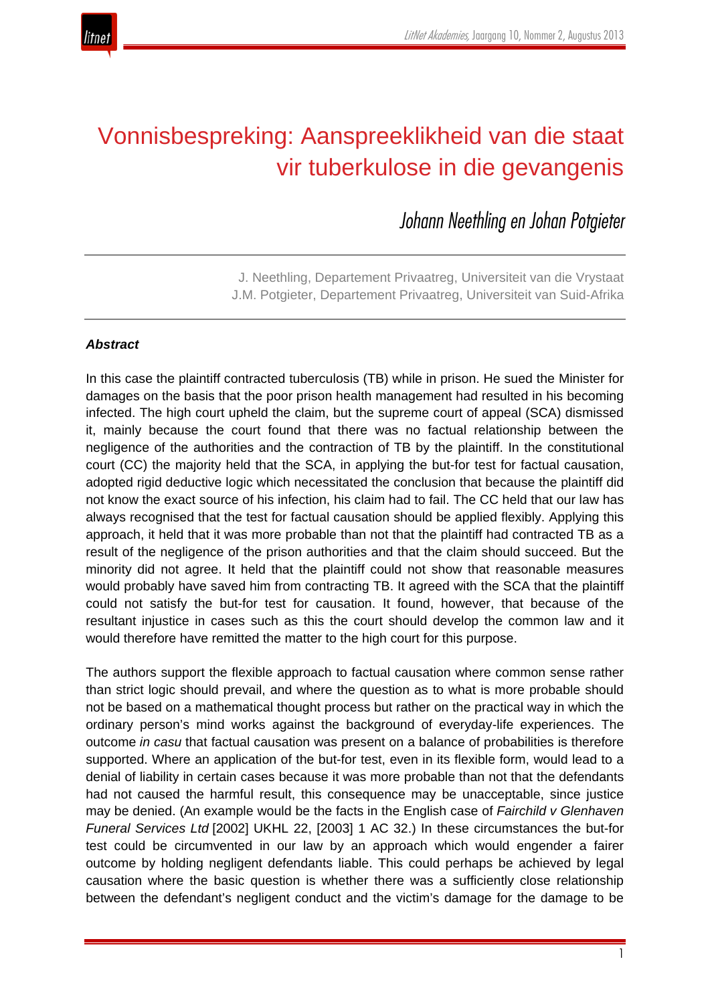

# Vonnisbespreking: Aanspreeklikheid van die staat vir tuberkulose in die gevangenis

*Johann Neethling en Johan Potgieter*

J. Neethling, Departement Privaatreg, Universiteit van die Vrystaat J.M. Potgieter, Departement Privaatreg, Universiteit van Suid-Afrika

# *Abstract*

In this case the plaintiff contracted tuberculosis (TB) while in prison. He sued the Minister for damages on the basis that the poor prison health management had resulted in his becoming infected. The high court upheld the claim, but the supreme court of appeal (SCA) dismissed it, mainly because the court found that there was no factual relationship between the negligence of the authorities and the contraction of TB by the plaintiff. In the constitutional court (CC) the majority held that the SCA, in applying the but-for test for factual causation, adopted rigid deductive logic which necessitated the conclusion that because the plaintiff did not know the exact source of his infection, his claim had to fail. The CC held that our law has always recognised that the test for factual causation should be applied flexibly. Applying this approach, it held that it was more probable than not that the plaintiff had contracted TB as a result of the negligence of the prison authorities and that the claim should succeed. But the minority did not agree. It held that the plaintiff could not show that reasonable measures would probably have saved him from contracting TB. It agreed with the SCA that the plaintiff could not satisfy the but-for test for causation. It found, however, that because of the resultant injustice in cases such as this the court should develop the common law and it would therefore have remitted the matter to the high court for this purpose.

The authors support the flexible approach to factual causation where common sense rather than strict logic should prevail, and where the question as to what is more probable should not be based on a mathematical thought process but rather on the practical way in which the ordinary person's mind works against the background of everyday-life experiences. The outcome *in casu* that factual causation was present on a balance of probabilities is therefore supported. Where an application of the but-for test, even in its flexible form, would lead to a denial of liability in certain cases because it was more probable than not that the defendants had not caused the harmful result, this consequence may be unacceptable, since justice may be denied. (An example would be the facts in the English case of *Fairchild v Glenhaven Funeral Services Ltd* [2002] UKHL 22, [2003] 1 AC 32.) In these circumstances the but-for test could be circumvented in our law by an approach which would engender a fairer outcome by holding negligent defendants liable. This could perhaps be achieved by legal causation where the basic question is whether there was a sufficiently close relationship between the defendant's negligent conduct and the victim's damage for the damage to be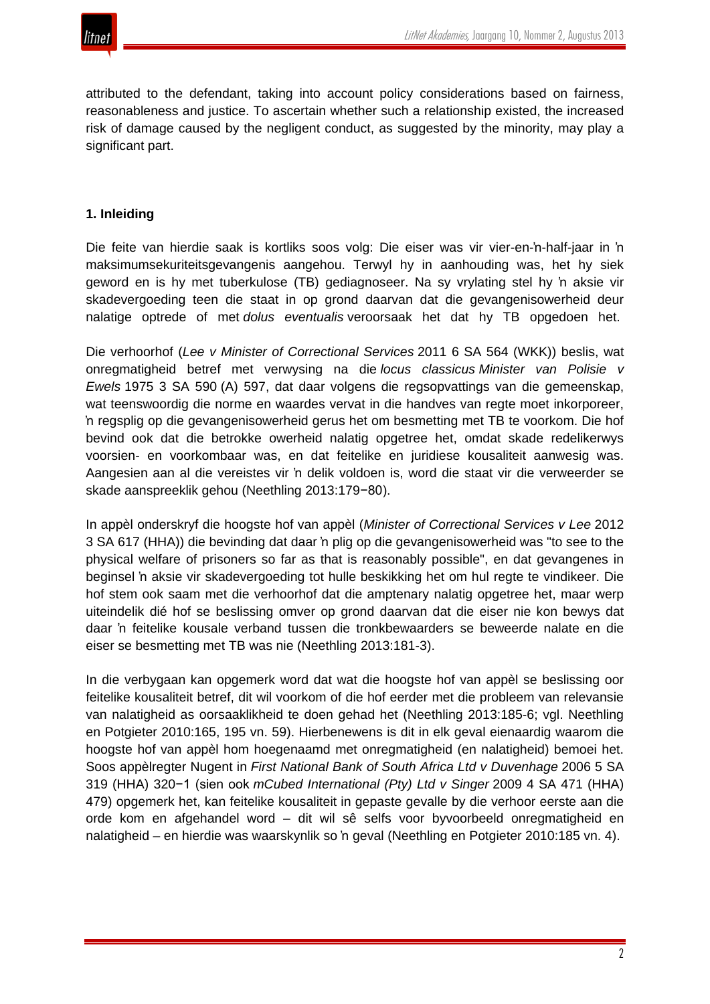

attributed to the defendant, taking into account policy considerations based on fairness, reasonableness and justice. To ascertain whether such a relationship existed, the increased risk of damage caused by the negligent conduct, as suggested by the minority, may play a significant part.

## **1. Inleiding**

Die feite van hierdie saak is kortliks soos volg: Die eiser was vir vier-en-'n-half-jaar in 'n maksimumsekuriteitsgevangenis aangehou. Terwyl hy in aanhouding was, het hy siek geword en is hy met tuberkulose (TB) gediagnoseer. Na sy vrylating stel hy 'n aksie vir skadevergoeding teen die staat in op grond daarvan dat die gevangenisowerheid deur nalatige optrede of met *dolus eventualis* veroorsaak het dat hy TB opgedoen het.

Die verhoorhof (*Lee v Minister of Correctional Services* 2011 6 SA 564 (WKK)) beslis, wat onregmatigheid betref met verwysing na die *locus classicus Minister van Polisie v Ewels* 1975 3 SA 590 (A) 597, dat daar volgens die regsopvattings van die gemeenskap, wat teenswoordig die norme en waardes vervat in die handves van regte moet inkorporeer, 'n regsplig op die gevangenisowerheid gerus het om besmetting met TB te voorkom. Die hof bevind ook dat die betrokke owerheid nalatig opgetree het, omdat skade redelikerwys voorsien- en voorkombaar was, en dat feitelike en juridiese kousaliteit aanwesig was. Aangesien aan al die vereistes vir 'n delik voldoen is, word die staat vir die verweerder se skade aanspreeklik gehou (Neethling 2013:179−80).

In appèl onderskryf die hoogste hof van appèl (*Minister of Correctional Services v Lee* 2012 3 SA 617 (HHA)) die bevinding dat daar 'n plig op die gevangenisowerheid was "to see to the physical welfare of prisoners so far as that is reasonably possible", en dat gevangenes in beginsel 'n aksie vir skadevergoeding tot hulle beskikking het om hul regte te vindikeer. Die hof stem ook saam met die verhoorhof dat die amptenary nalatig opgetree het, maar werp uiteindelik dié hof se beslissing omver op grond daarvan dat die eiser nie kon bewys dat daar 'n feitelike kousale verband tussen die tronkbewaarders se beweerde nalate en die eiser se besmetting met TB was nie (Neethling 2013:181-3).

In die verbygaan kan opgemerk word dat wat die hoogste hof van appèl se beslissing oor feitelike kousaliteit betref, dit wil voorkom of die hof eerder met die probleem van relevansie van nalatigheid as oorsaaklikheid te doen gehad het (Neethling 2013:185-6; vgl. Neethling en Potgieter 2010:165, 195 vn. 59). Hierbenewens is dit in elk geval eienaardig waarom die hoogste hof van appèl hom hoegenaamd met onregmatigheid (en nalatigheid) bemoei het. Soos appèlregter Nugent in *First National Bank of South Africa Ltd v Duvenhage* 2006 5 SA 319 (HHA) 320−1 (sien ook *mCubed International (Pty) Ltd v Singer* 2009 4 SA 471 (HHA) 479) opgemerk het, kan feitelike kousaliteit in gepaste gevalle by die verhoor eerste aan die orde kom en afgehandel word – dit wil sê selfs voor byvoorbeeld onregmatigheid en nalatigheid – en hierdie was waarskynlik so 'n geval (Neethling en Potgieter 2010:185 vn. 4).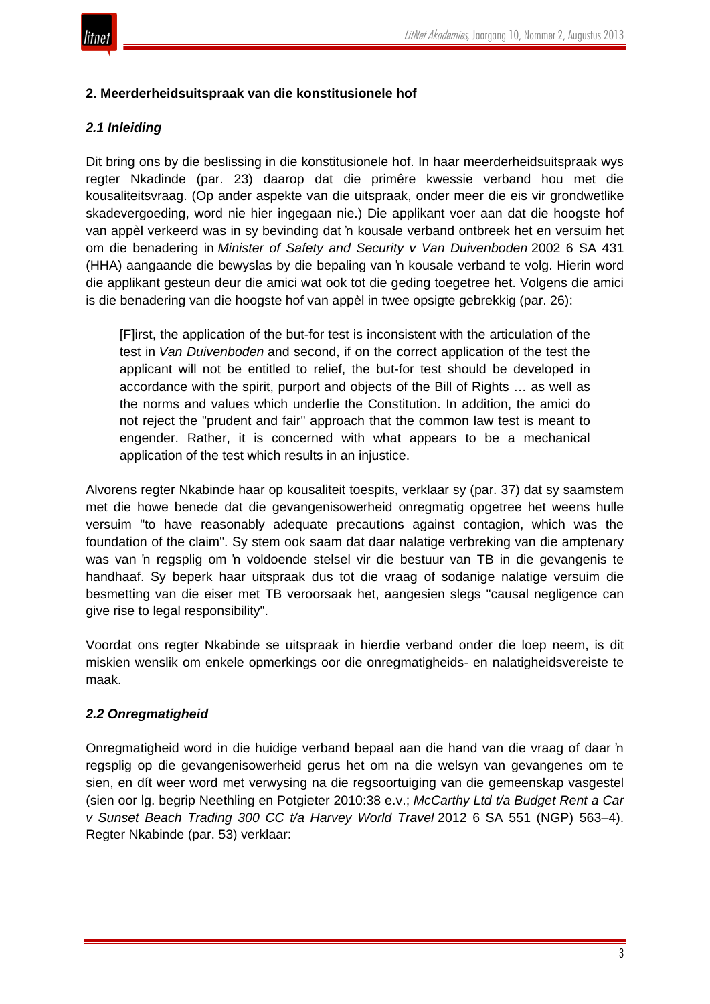

## **2. Meerderheidsuitspraak van die konstitusionele hof**

# *2.1 Inleiding*

Dit bring ons by die beslissing in die konstitusionele hof. In haar meerderheidsuitspraak wys regter Nkadinde (par. 23) daarop dat die primêre kwessie verband hou met die kousaliteitsvraag. (Op ander aspekte van die uitspraak, onder meer die eis vir grondwetlike skadevergoeding, word nie hier ingegaan nie.) Die applikant voer aan dat die hoogste hof van appèl verkeerd was in sy bevinding dat 'n kousale verband ontbreek het en versuim het om die benadering in *Minister of Safety and Security v Van Duivenboden* 2002 6 SA 431 (HHA) aangaande die bewyslas by die bepaling van 'n kousale verband te volg. Hierin word die applikant gesteun deur die amici wat ook tot die geding toegetree het. Volgens die amici is die benadering van die hoogste hof van appèl in twee opsigte gebrekkig (par. 26):

[F]irst, the application of the but-for test is inconsistent with the articulation of the test in *Van Duivenboden* and second, if on the correct application of the test the applicant will not be entitled to relief, the but-for test should be developed in accordance with the spirit, purport and objects of the Bill of Rights … as well as the norms and values which underlie the Constitution. In addition, the amici do not reject the "prudent and fair" approach that the common law test is meant to engender. Rather, it is concerned with what appears to be a mechanical application of the test which results in an injustice.

Alvorens regter Nkabinde haar op kousaliteit toespits, verklaar sy (par. 37) dat sy saamstem met die howe benede dat die gevangenisowerheid onregmatig opgetree het weens hulle versuim "to have reasonably adequate precautions against contagion, which was the foundation of the claim". Sy stem ook saam dat daar nalatige verbreking van die amptenary was van 'n regsplig om 'n voldoende stelsel vir die bestuur van TB in die gevangenis te handhaaf. Sy beperk haar uitspraak dus tot die vraag of sodanige nalatige versuim die besmetting van die eiser met TB veroorsaak het, aangesien slegs "causal negligence can give rise to legal responsibility".

Voordat ons regter Nkabinde se uitspraak in hierdie verband onder die loep neem, is dit miskien wenslik om enkele opmerkings oor die onregmatigheids- en nalatigheidsvereiste te maak.

# *2.2 Onregmatigheid*

Onregmatigheid word in die huidige verband bepaal aan die hand van die vraag of daar 'n regsplig op die gevangenisowerheid gerus het om na die welsyn van gevangenes om te sien, en dít weer word met verwysing na die regsoortuiging van die gemeenskap vasgestel (sien oor lg. begrip Neethling en Potgieter 2010:38 e.v.; *McCarthy Ltd t/a Budget Rent a Car v Sunset Beach Trading 300 CC t/a Harvey World Travel* 2012 6 SA 551 (NGP) 563–4). Regter Nkabinde (par. 53) verklaar: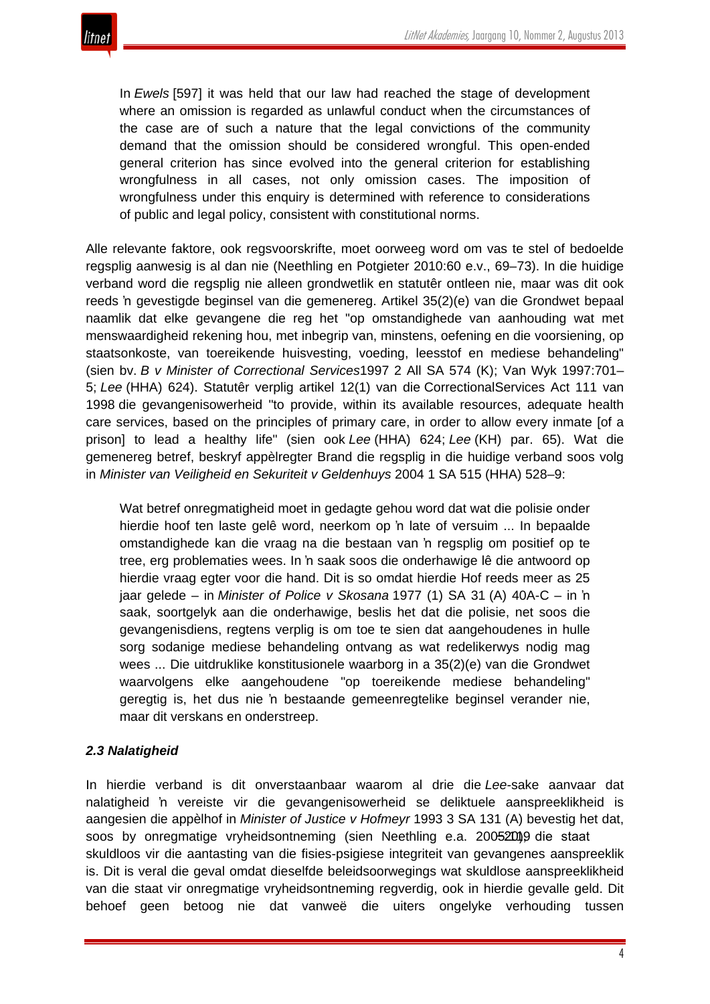In *Ewels* [597] it was held that our law had reached the stage of development where an omission is regarded as unlawful conduct when the circumstances of the case are of such a nature that the legal convictions of the community demand that the omission should be considered wrongful. This open-ended general criterion has since evolved into the general criterion for establishing wrongfulness in all cases, not only omission cases. The imposition of wrongfulness under this enquiry is determined with reference to considerations of public and legal policy, consistent with constitutional norms.

Alle relevante faktore, ook regsvoorskrifte, moet oorweeg word om vas te stel of bedoelde regsplig aanwesig is al dan nie (Neethling en Potgieter 2010:60 e.v., 69–73). In die huidige verband word die regsplig nie alleen grondwetlik en statutêr ontleen nie, maar was dit ook reeds 'n gevestigde beginsel van die gemenereg. Artikel 35(2)(e) van die Grondwet bepaal naamlik dat elke gevangene die reg het "op omstandighede van aanhouding wat met menswaardigheid rekening hou, met inbegrip van, minstens, oefening en die voorsiening, op staatsonkoste, van toereikende huisvesting, voeding, leesstof en mediese behandeling" (sien bv. *B v Minister of Correctional Services*1997 2 All SA 574 (K); Van Wyk 1997:701– 5; *Lee* (HHA) 624). Statutêr verplig artikel 12(1) van die CorrectionalServices Act 111 van 1998 die gevangenisowerheid "to provide, within its available resources, adequate health care services, based on the principles of primary care, in order to allow every inmate [of a prison] to lead a healthy life" (sien ook *Lee* (HHA) 624; *Lee* (KH) par. 65). Wat die gemenereg betref, beskryf appèlregter Brand die regsplig in die huidige verband soos volg in *Minister van Veiligheid en Sekuriteit v Geldenhuys* 2004 1 SA 515 (HHA) 528–9:

Wat betref onregmatigheid moet in gedagte gehou word dat wat die polisie onder hierdie hoof ten laste gelê word, neerkom op 'n late of versuim ... In bepaalde omstandighede kan die vraag na die bestaan van 'n regsplig om positief op te tree, erg problematies wees. In 'n saak soos die onderhawige lê die antwoord op hierdie vraag egter voor die hand. Dit is so omdat hierdie Hof reeds meer as 25 jaar gelede – in *Minister of Police v Skosana* 1977 (1) SA 31 (A) 40A-C – in 'n saak, soortgelyk aan die onderhawige, beslis het dat die polisie, net soos die gevangenisdiens, regtens verplig is om toe te sien dat aangehoudenes in hulle sorg sodanige mediese behandeling ontvang as wat redelikerwys nodig mag wees ... Die uitdruklike konstitusionele waarborg in a 35(2)(e) van die Grondwet waarvolgens elke aangehoudene "op toereikende mediese behandeling" geregtig is, het dus nie 'n bestaande gemeenregtelike beginsel verander nie, maar dit verskans en onderstreep.

#### *2.3 Nalatigheid*

In hierdie verband is dit onverstaanbaar waarom al drie die *Lee-*sake aanvaar dat nalatigheid 'n vereiste vir die gevangenisowerheid se deliktuele aanspreeklikheid is aangesien die appèlhof in *Minister of Justice v Hofmeyr* 1993 3 SA 131 (A) bevestig het dat, soos by onregmatige vryheidsontneming (sien Neethling e.a. 2005:2019 die staat skuldloos vir die aantasting van die fisies-psigiese integriteit van gevangenes aanspreeklik is. Dit is veral die geval omdat dieselfde beleidsoorwegings wat skuldlose aanspreeklikheid van die staat vir onregmatige vryheidsontneming regverdig, ook in hierdie gevalle geld. Dit behoef geen betoog nie dat vanweë die uiters ongelyke verhouding tussen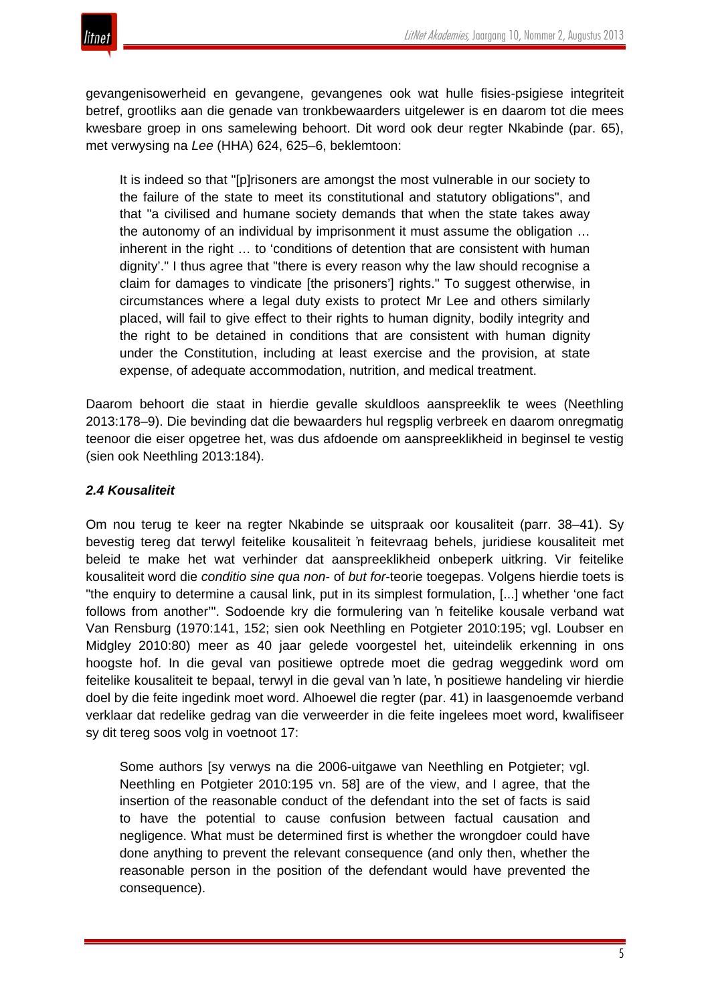

gevangenisowerheid en gevangene, gevangenes ook wat hulle fisies-psigiese integriteit betref, grootliks aan die genade van tronkbewaarders uitgelewer is en daarom tot die mees kwesbare groep in ons samelewing behoort. Dit word ook deur regter Nkabinde (par. 65), met verwysing na *Lee* (HHA) 624, 625–6, beklemtoon:

It is indeed so that "[p]risoners are amongst the most vulnerable in our society to the failure of the state to meet its constitutional and statutory obligations", and that "a civilised and humane society demands that when the state takes away the autonomy of an individual by imprisonment it must assume the obligation … inherent in the right … to 'conditions of detention that are consistent with human dignity'." I thus agree that "there is every reason why the law should recognise a claim for damages to vindicate [the prisoners'] rights." To suggest otherwise, in circumstances where a legal duty exists to protect Mr Lee and others similarly placed, will fail to give effect to their rights to human dignity, bodily integrity and the right to be detained in conditions that are consistent with human dignity under the Constitution, including at least exercise and the provision, at state expense, of adequate accommodation, nutrition, and medical treatment.

Daarom behoort die staat in hierdie gevalle skuldloos aanspreeklik te wees (Neethling 2013:178–9). Die bevinding dat die bewaarders hul regsplig verbreek en daarom onregmatig teenoor die eiser opgetree het, was dus afdoende om aanspreeklikheid in beginsel te vestig (sien ook Neethling 2013:184).

# *2.4 Kousaliteit*

Om nou terug te keer na regter Nkabinde se uitspraak oor kousaliteit (parr. 38–41). Sy bevestig tereg dat terwyl feitelike kousaliteit 'n feitevraag behels, juridiese kousaliteit met beleid te make het wat verhinder dat aanspreeklikheid onbeperk uitkring. Vir feitelike kousaliteit word die *conditio sine qua non*- of *but for*-teorie toegepas. Volgens hierdie toets is "the enquiry to determine a causal link, put in its simplest formulation, [...] whether 'one fact follows from another'". Sodoende kry die formulering van 'n feitelike kousale verband wat Van Rensburg (1970:141, 152; sien ook Neethling en Potgieter 2010:195; vgl. Loubser en Midgley 2010:80) meer as 40 jaar gelede voorgestel het, uiteindelik erkenning in ons hoogste hof. In die geval van positiewe optrede moet die gedrag weggedink word om feitelike kousaliteit te bepaal, terwyl in die geval van 'n late, 'n positiewe handeling vir hierdie doel by die feite ingedink moet word. Alhoewel die regter (par. 41) in laasgenoemde verband verklaar dat redelike gedrag van die verweerder in die feite ingelees moet word, kwalifiseer sy dit tereg soos volg in voetnoot 17:

Some authors [sy verwys na die 2006-uitgawe van Neethling en Potgieter; vgl. Neethling en Potgieter 2010:195 vn. 58] are of the view, and I agree, that the insertion of the reasonable conduct of the defendant into the set of facts is said to have the potential to cause confusion between factual causation and negligence. What must be determined first is whether the wrongdoer could have done anything to prevent the relevant consequence (and only then, whether the reasonable person in the position of the defendant would have prevented the consequence).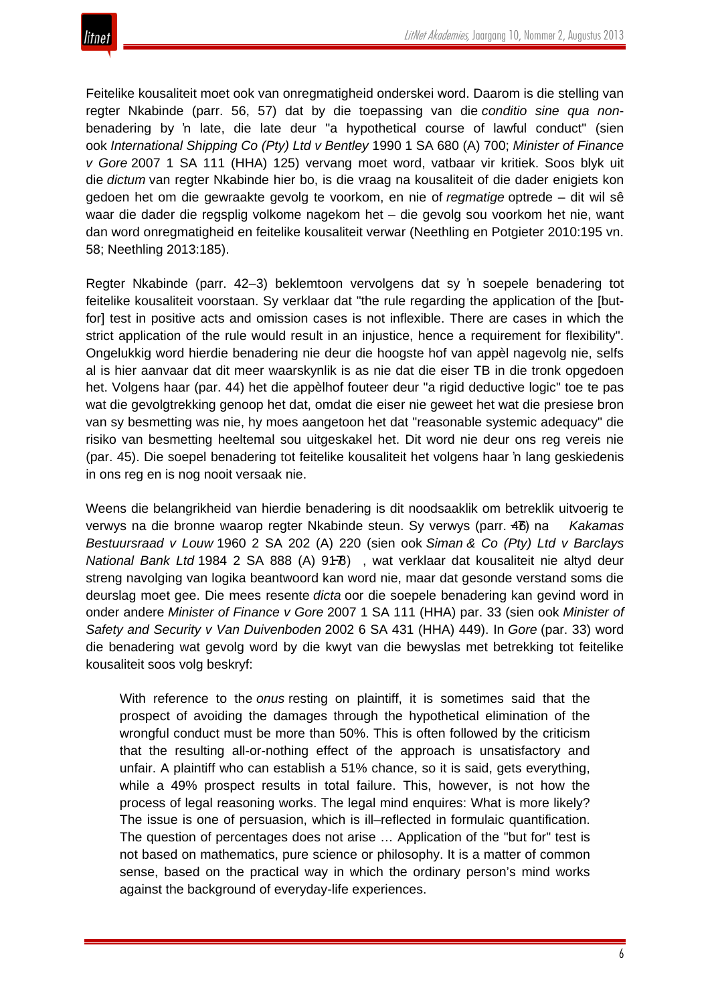

Feitelike kousaliteit moet ook van onregmatigheid onderskei word. Daarom is die stelling van regter Nkabinde (parr. 56, 57) dat by die toepassing van die *conditio sine qua non*benadering by 'n late, die late deur "a hypothetical course of lawful conduct" (sien ook *International Shipping Co (Pty) Ltd v Bentley* 1990 1 SA 680 (A) 700; *Minister of Finance v Gore* 2007 1 SA 111 (HHA) 125) vervang moet word, vatbaar vir kritiek. Soos blyk uit die *dictum* van regter Nkabinde hier bo, is die vraag na kousaliteit of die dader enigiets kon gedoen het om die gewraakte gevolg te voorkom, en nie of *regmatige* optrede – dit wil sê waar die dader die regsplig volkome nagekom het – die gevolg sou voorkom het nie, want dan word onregmatigheid en feitelike kousaliteit verwar (Neethling en Potgieter 2010:195 vn. 58; Neethling 2013:185).

Regter Nkabinde (parr. 42–3) beklemtoon vervolgens dat sy 'n soepele benadering tot feitelike kousaliteit voorstaan. Sy verklaar dat "the rule regarding the application of the [butfor] test in positive acts and omission cases is not inflexible. There are cases in which the strict application of the rule would result in an injustice, hence a requirement for flexibility". Ongelukkig word hierdie benadering nie deur die hoogste hof van appèl nagevolg nie, selfs al is hier aanvaar dat dit meer waarskynlik is as nie dat die eiser TB in die tronk opgedoen het. Volgens haar (par. 44) het die appèlhof fouteer deur "a rigid deductive logic" toe te pas wat die gevolgtrekking genoop het dat, omdat die eiser nie geweet het wat die presiese bron van sy besmetting was nie, hy moes aangetoon het dat "reasonable systemic adequacy" die risiko van besmetting heeltemal sou uitgeskakel het. Dit word nie deur ons reg vereis nie (par. 45). Die soepel benadering tot feitelike kousaliteit het volgens haar 'n lang geskiedenis in ons reg en is nog nooit versaak nie.

Weens die belangrikheid van hierdie benadering is dit noodsaaklik om betreklik uitvoerig te verwys na die bronne waarop regter Nkabinde steun. Sy verwys (parr. 46−7) na *Kakamas Bestuursraad v Louw* 1960 2 SA 202 (A) 220 (sien ook *Siman & Co (Pty) Ltd v Barclays National Bank Ltd* 1984 2 SA 888 (A) 91-78), wat verklaar dat kousaliteit nie altyd deur streng navolging van logika beantwoord kan word nie, maar dat gesonde verstand soms die deurslag moet gee. Die mees resente *dicta* oor die soepele benadering kan gevind word in onder andere *Minister of Finance v Gore* 2007 1 SA 111 (HHA) par. 33 (sien ook *Minister of Safety and Security v Van Duivenboden* 2002 6 SA 431 (HHA) 449). In *Gore* (par. 33) word die benadering wat gevolg word by die kwyt van die bewyslas met betrekking tot feitelike kousaliteit soos volg beskryf:

With reference to the *onus* resting on plaintiff, it is sometimes said that the prospect of avoiding the damages through the hypothetical elimination of the wrongful conduct must be more than 50%. This is often followed by the criticism that the resulting all-or-nothing effect of the approach is unsatisfactory and unfair. A plaintiff who can establish a 51% chance, so it is said, gets everything, while a 49% prospect results in total failure. This, however, is not how the process of legal reasoning works. The legal mind enquires: What is more likely? The issue is one of persuasion, which is ill–reflected in formulaic quantification. The question of percentages does not arise … Application of the "but for" test is not based on mathematics, pure science or philosophy. It is a matter of common sense, based on the practical way in which the ordinary person's mind works against the background of everyday-life experiences.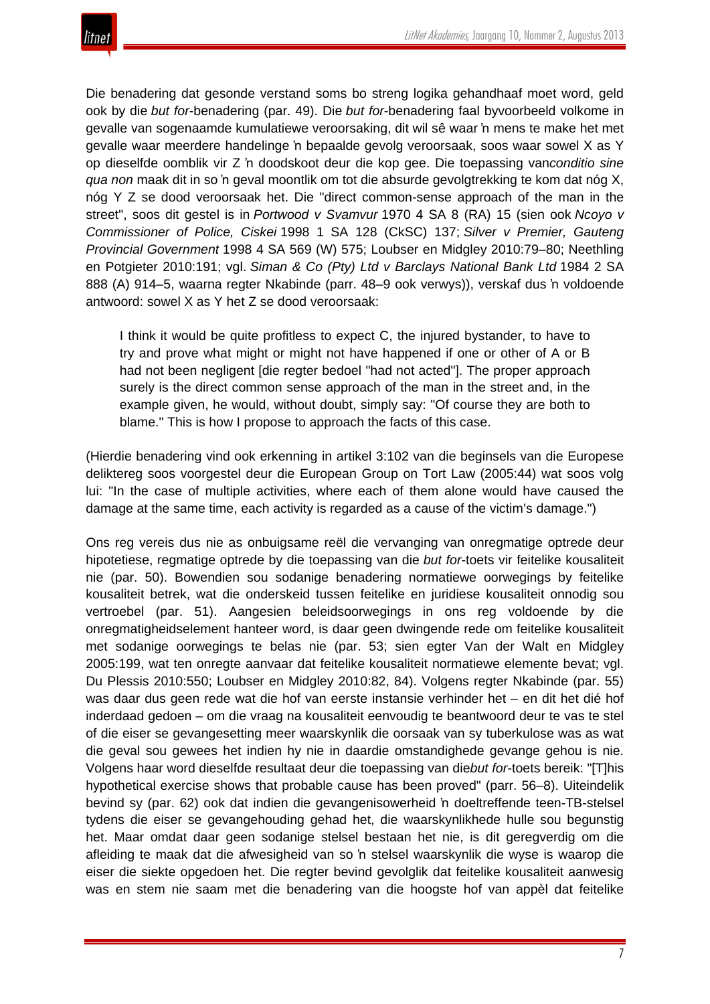

Die benadering dat gesonde verstand soms bo streng logika gehandhaaf moet word, geld ook by die *but for*-benadering (par. 49). Die *but for*-benadering faal byvoorbeeld volkome in gevalle van sogenaamde kumulatiewe veroorsaking, dit wil sê waar 'n mens te make het met gevalle waar meerdere handelinge 'n bepaalde gevolg veroorsaak, soos waar sowel X as Y op dieselfde oomblik vir Z 'n doodskoot deur die kop gee. Die toepassing van*conditio sine qua non* maak dit in so 'n geval moontlik om tot die absurde gevolgtrekking te kom dat nóg X, nóg Y Z se dood veroorsaak het. Die "direct common-sense approach of the man in the street", soos dit gestel is in *Portwood v Svamvur* 1970 4 SA 8 (RA) 15 (sien ook *Ncoyo v Commissioner of Police, Ciskei* 1998 1 SA 128 (CkSC) 137; *Silver v Premier, Gauteng Provincial Government* 1998 4 SA 569 (W) 575; Loubser en Midgley 2010:79–80; Neethling en Potgieter 2010:191; vgl. *Siman & Co (Pty) Ltd v Barclays National Bank Ltd* 1984 2 SA 888 (A) 914–5, waarna regter Nkabinde (parr. 48–9 ook verwys)), verskaf dus 'n voldoende antwoord: sowel X as Y het Z se dood veroorsaak:

I think it would be quite profitless to expect C, the injured bystander, to have to try and prove what might or might not have happened if one or other of A or B had not been negligent [die regter bedoel "had not acted"]. The proper approach surely is the direct common sense approach of the man in the street and, in the example given, he would, without doubt, simply say: "Of course they are both to blame." This is how I propose to approach the facts of this case.

(Hierdie benadering vind ook erkenning in artikel 3:102 van die beginsels van die Europese deliktereg soos voorgestel deur die European Group on Tort Law (2005:44) wat soos volg lui: "In the case of multiple activities, where each of them alone would have caused the damage at the same time, each activity is regarded as a cause of the victim's damage.")

Ons reg vereis dus nie as onbuigsame reël die vervanging van onregmatige optrede deur hipotetiese, regmatige optrede by die toepassing van die *but for*-toets vir feitelike kousaliteit nie (par. 50). Bowendien sou sodanige benadering normatiewe oorwegings by feitelike kousaliteit betrek, wat die onderskeid tussen feitelike en juridiese kousaliteit onnodig sou vertroebel (par. 51). Aangesien beleidsoorwegings in ons reg voldoende by die onregmatigheidselement hanteer word, is daar geen dwingende rede om feitelike kousaliteit met sodanige oorwegings te belas nie (par. 53; sien egter Van der Walt en Midgley 2005:199, wat ten onregte aanvaar dat feitelike kousaliteit normatiewe elemente bevat; vgl. Du Plessis 2010:550; Loubser en Midgley 2010:82, 84). Volgens regter Nkabinde (par. 55) was daar dus geen rede wat die hof van eerste instansie verhinder het – en dit het dié hof inderdaad gedoen – om die vraag na kousaliteit eenvoudig te beantwoord deur te vas te stel of die eiser se gevangesetting meer waarskynlik die oorsaak van sy tuberkulose was as wat die geval sou gewees het indien hy nie in daardie omstandighede gevange gehou is nie. Volgens haar word dieselfde resultaat deur die toepassing van die*but for*-toets bereik: "[T]his hypothetical exercise shows that probable cause has been proved" (parr. 56–8). Uiteindelik bevind sy (par. 62) ook dat indien die gevangenisowerheid 'n doeltreffende teen-TB-stelsel tydens die eiser se gevangehouding gehad het, die waarskynlikhede hulle sou begunstig het. Maar omdat daar geen sodanige stelsel bestaan het nie, is dit geregverdig om die afleiding te maak dat die afwesigheid van so 'n stelsel waarskynlik die wyse is waarop die eiser die siekte opgedoen het. Die regter bevind gevolglik dat feitelike kousaliteit aanwesig was en stem nie saam met die benadering van die hoogste hof van appèl dat feitelike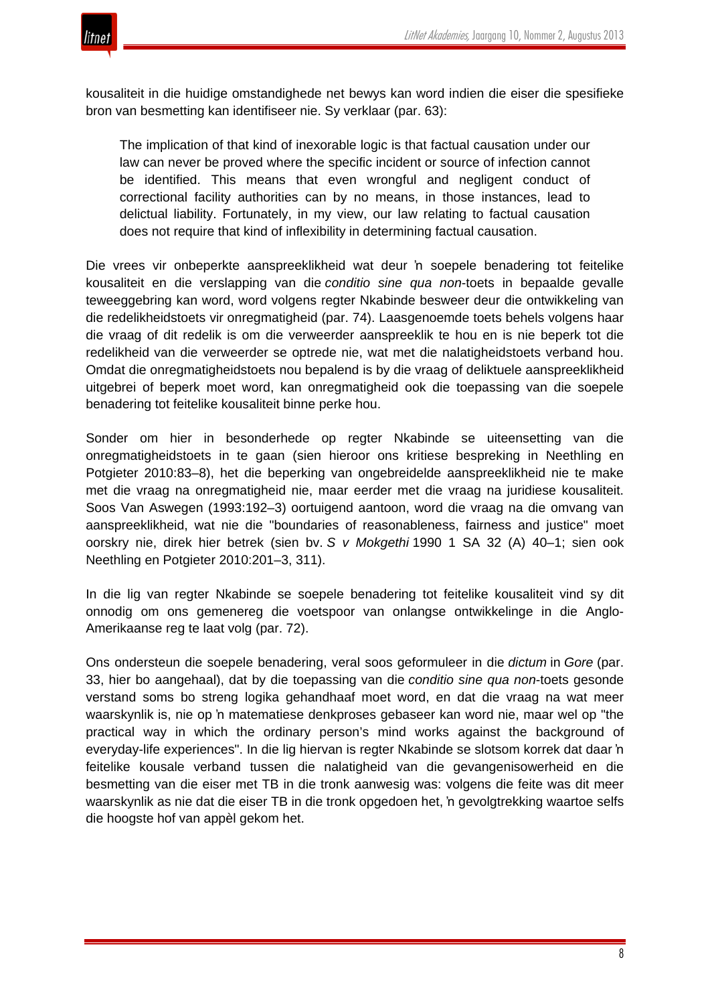

kousaliteit in die huidige omstandighede net bewys kan word indien die eiser die spesifieke bron van besmetting kan identifiseer nie. Sy verklaar (par. 63):

The implication of that kind of inexorable logic is that factual causation under our law can never be proved where the specific incident or source of infection cannot be identified. This means that even wrongful and negligent conduct of correctional facility authorities can by no means, in those instances, lead to delictual liability. Fortunately, in my view, our law relating to factual causation does not require that kind of inflexibility in determining factual causation.

Die vrees vir onbeperkte aanspreeklikheid wat deur 'n soepele benadering tot feitelike kousaliteit en die verslapping van die *conditio sine qua non*-toets in bepaalde gevalle teweeggebring kan word, word volgens regter Nkabinde besweer deur die ontwikkeling van die redelikheidstoets vir onregmatigheid (par. 74). Laasgenoemde toets behels volgens haar die vraag of dit redelik is om die verweerder aanspreeklik te hou en is nie beperk tot die redelikheid van die verweerder se optrede nie, wat met die nalatigheidstoets verband hou. Omdat die onregmatigheidstoets nou bepalend is by die vraag of deliktuele aanspreeklikheid uitgebrei of beperk moet word, kan onregmatigheid ook die toepassing van die soepele benadering tot feitelike kousaliteit binne perke hou.

Sonder om hier in besonderhede op regter Nkabinde se uiteensetting van die onregmatigheidstoets in te gaan (sien hieroor ons kritiese bespreking in Neethling en Potgieter 2010:83–8), het die beperking van ongebreidelde aanspreeklikheid nie te make met die vraag na onregmatigheid nie, maar eerder met die vraag na juridiese kousaliteit. Soos Van Aswegen (1993:192–3) oortuigend aantoon, word die vraag na die omvang van aanspreeklikheid, wat nie die "boundaries of reasonableness, fairness and justice" moet oorskry nie, direk hier betrek (sien bv. *S v Mokgethi* 1990 1 SA 32 (A) 40–1; sien ook Neethling en Potgieter 2010:201–3, 311).

In die lig van regter Nkabinde se soepele benadering tot feitelike kousaliteit vind sy dit onnodig om ons gemenereg die voetspoor van onlangse ontwikkelinge in die Anglo-Amerikaanse reg te laat volg (par. 72).

Ons ondersteun die soepele benadering, veral soos geformuleer in die *dictum* in *Gore* (par. 33, hier bo aangehaal), dat by die toepassing van die *conditio sine qua non*-toets gesonde verstand soms bo streng logika gehandhaaf moet word, en dat die vraag na wat meer waarskynlik is, nie op 'n matematiese denkproses gebaseer kan word nie, maar wel op "the practical way in which the ordinary person's mind works against the background of everyday-life experiences". In die lig hiervan is regter Nkabinde se slotsom korrek dat daar 'n feitelike kousale verband tussen die nalatigheid van die gevangenisowerheid en die besmetting van die eiser met TB in die tronk aanwesig was: volgens die feite was dit meer waarskynlik as nie dat die eiser TB in die tronk opgedoen het, 'n gevolgtrekking waartoe selfs die hoogste hof van appèl gekom het.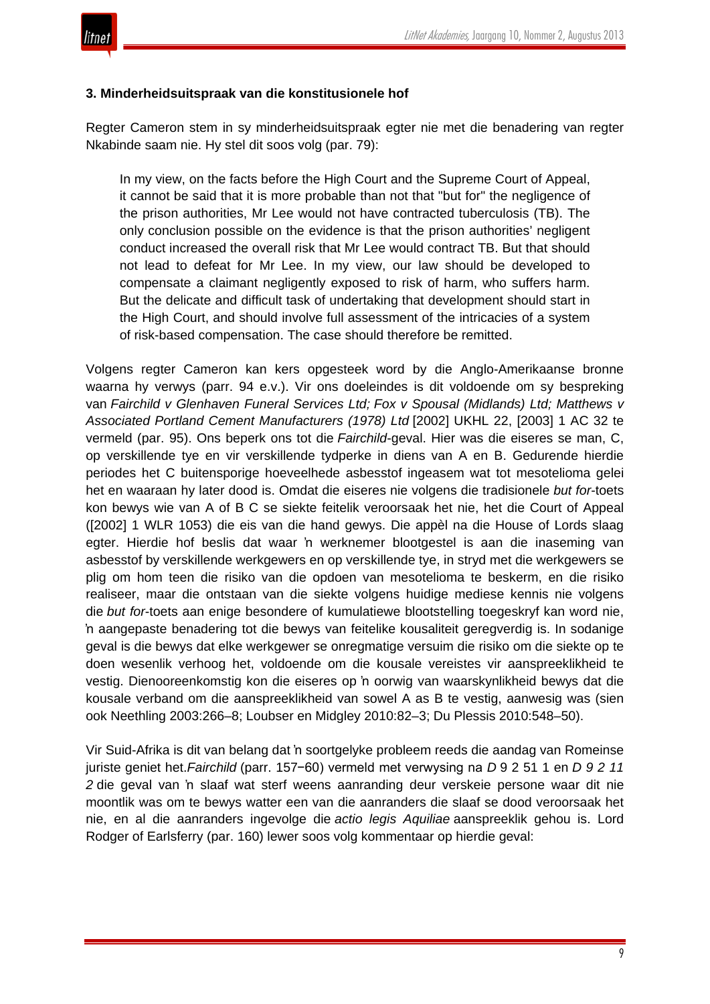

#### **3. Minderheidsuitspraak van die konstitusionele hof**

Regter Cameron stem in sy minderheidsuitspraak egter nie met die benadering van regter Nkabinde saam nie. Hy stel dit soos volg (par. 79):

In my view, on the facts before the High Court and the Supreme Court of Appeal, it cannot be said that it is more probable than not that "but for" the negligence of the prison authorities, Mr Lee would not have contracted tuberculosis (TB). The only conclusion possible on the evidence is that the prison authorities' negligent conduct increased the overall risk that Mr Lee would contract TB. But that should not lead to defeat for Mr Lee. In my view, our law should be developed to compensate a claimant negligently exposed to risk of harm, who suffers harm. But the delicate and difficult task of undertaking that development should start in the High Court, and should involve full assessment of the intricacies of a system of risk-based compensation. The case should therefore be remitted.

Volgens regter Cameron kan kers opgesteek word by die Anglo-Amerikaanse bronne waarna hy verwys (parr. 94 e.v.). Vir ons doeleindes is dit voldoende om sy bespreking van *Fairchild v Glenhaven Funeral Services Ltd; Fox v Spousal (Midlands) Ltd; Matthews v Associated Portland Cement Manufacturers (1978) Ltd* [2002] UKHL 22, [2003] 1 AC 32 te vermeld (par. 95). Ons beperk ons tot die *Fairchild*-geval. Hier was die eiseres se man, C, op verskillende tye en vir verskillende tydperke in diens van A en B. Gedurende hierdie periodes het C buitensporige hoeveelhede asbesstof ingeasem wat tot mesotelioma gelei het en waaraan hy later dood is. Omdat die eiseres nie volgens die tradisionele *but for*-toets kon bewys wie van A of B C se siekte feitelik veroorsaak het nie, het die Court of Appeal ([2002] 1 WLR 1053) die eis van die hand gewys. Die appèl na die House of Lords slaag egter. Hierdie hof beslis dat waar 'n werknemer blootgestel is aan die inaseming van asbesstof by verskillende werkgewers en op verskillende tye, in stryd met die werkgewers se plig om hom teen die risiko van die opdoen van mesotelioma te beskerm, en die risiko realiseer, maar die ontstaan van die siekte volgens huidige mediese kennis nie volgens die *but for*-toets aan enige besondere of kumulatiewe blootstelling toegeskryf kan word nie, 'n aangepaste benadering tot die bewys van feitelike kousaliteit geregverdig is. In sodanige geval is die bewys dat elke werkgewer se onregmatige versuim die risiko om die siekte op te doen wesenlik verhoog het, voldoende om die kousale vereistes vir aanspreeklikheid te vestig. Dienooreenkomstig kon die eiseres op 'n oorwig van waarskynlikheid bewys dat die kousale verband om die aanspreeklikheid van sowel A as B te vestig, aanwesig was (sien ook Neethling 2003:266–8; Loubser en Midgley 2010:82–3; Du Plessis 2010:548–50).

Vir Suid-Afrika is dit van belang dat 'n soortgelyke probleem reeds die aandag van Romeinse juriste geniet het.*Fairchild* (parr. 157−60) vermeld met verwysing na *D* 9 2 51 1 en *D 9 2 11 2* die geval van 'n slaaf wat sterf weens aanranding deur verskeie persone waar dit nie moontlik was om te bewys watter een van die aanranders die slaaf se dood veroorsaak het nie, en al die aanranders ingevolge die *actio legis Aquiliae* aanspreeklik gehou is. Lord Rodger of Earlsferry (par. 160) lewer soos volg kommentaar op hierdie geval: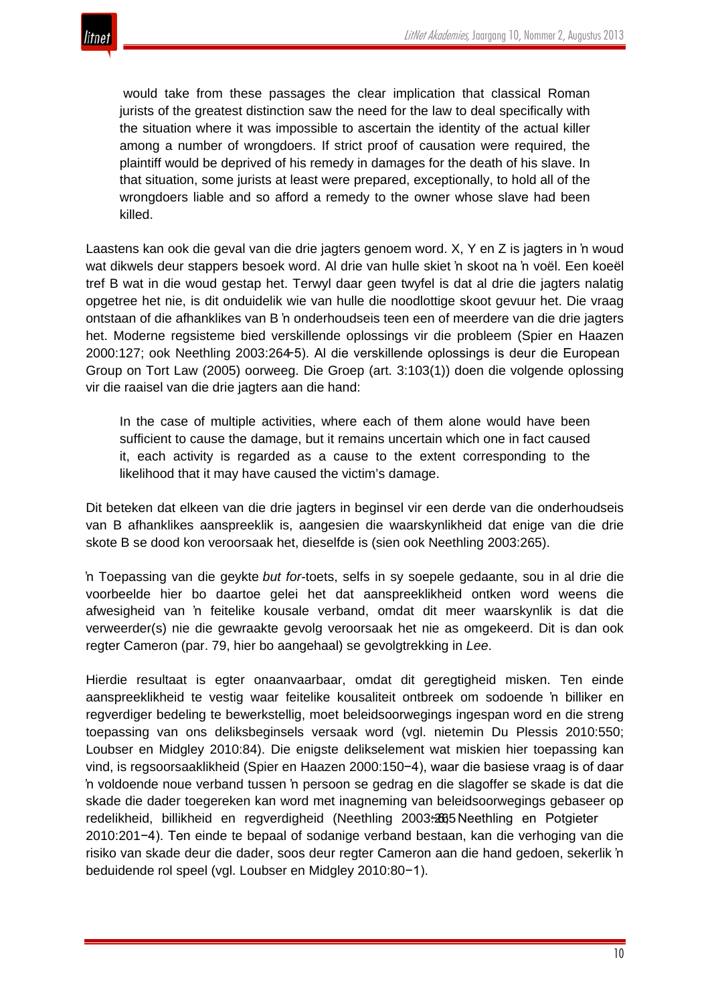would take from these passages the clear implication that classical Roman jurists of the greatest distinction saw the need for the law to deal specifically with the situation where it was impossible to ascertain the identity of the actual killer among a number of wrongdoers. If strict proof of causation were required, the plaintiff would be deprived of his remedy in damages for the death of his slave. In that situation, some jurists at least were prepared, exceptionally, to hold all of the wrongdoers liable and so afford a remedy to the owner whose slave had been killed.

Laastens kan ook die geval van die drie jagters genoem word. X, Y en Z is jagters in 'n woud wat dikwels deur stappers besoek word. Al drie van hulle skiet 'n skoot na 'n voël. Een koeël tref B wat in die woud gestap het. Terwyl daar geen twyfel is dat al drie die jagters nalatig opgetree het nie, is dit onduidelik wie van hulle die noodlottige skoot gevuur het. Die vraag ontstaan of die afhanklikes van B 'n onderhoudseis teen een of meerdere van die drie jagters het. Moderne regsisteme bied verskillende oplossings vir die probleem (Spier en Haazen 2000:127; ook Neethling 2003:264−5). Al die verskillende oplossings is deur die European Group on Tort Law (2005) oorweeg. Die Groep (art. 3:103(1)) doen die volgende oplossing vir die raaisel van die drie jagters aan die hand:

In the case of multiple activities, where each of them alone would have been sufficient to cause the damage, but it remains uncertain which one in fact caused it, each activity is regarded as a cause to the extent corresponding to the likelihood that it may have caused the victim's damage.

Dit beteken dat elkeen van die drie jagters in beginsel vir een derde van die onderhoudseis van B afhanklikes aanspreeklik is, aangesien die waarskynlikheid dat enige van die drie skote B se dood kon veroorsaak het, dieselfde is (sien ook Neethling 2003:265).

'n Toepassing van die geykte *but for*-toets, selfs in sy soepele gedaante, sou in al drie die voorbeelde hier bo daartoe gelei het dat aanspreeklikheid ontken word weens die afwesigheid van 'n feitelike kousale verband, omdat dit meer waarskynlik is dat die verweerder(s) nie die gewraakte gevolg veroorsaak het nie as omgekeerd. Dit is dan ook regter Cameron (par. 79, hier bo aangehaal) se gevolgtrekking in *Lee*.

Hierdie resultaat is egter onaanvaarbaar, omdat dit geregtigheid misken. Ten einde aanspreeklikheid te vestig waar feitelike kousaliteit ontbreek om sodoende 'n billiker en regverdiger bedeling te bewerkstellig, moet beleidsoorwegings ingespan word en die streng toepassing van ons deliksbeginsels versaak word (vgl. nietemin Du Plessis 2010:550; Loubser en Midgley 2010:84). Die enigste delikselement wat miskien hier toepassing kan vind, is regsoorsaaklikheid (Spier en Haazen 2000:150−4), waar die basiese vraag is of daar 'n voldoende noue verband tussen 'n persoon se gedrag en die slagoffer se skade is dat die skade die dader toegereken kan word met inagneming van beleidsoorwegings gebaseer op redelikheid, billikheid en regverdigheid (Neethling 2003<del>:2665</del> Neethling en Potgieter 2010:201−4). Ten einde te bepaal of sodanige verband bestaan, kan die verhoging van die risiko van skade deur die dader, soos deur regter Cameron aan die hand gedoen, sekerlik 'n beduidende rol speel (vgl. Loubser en Midgley 2010:80−1).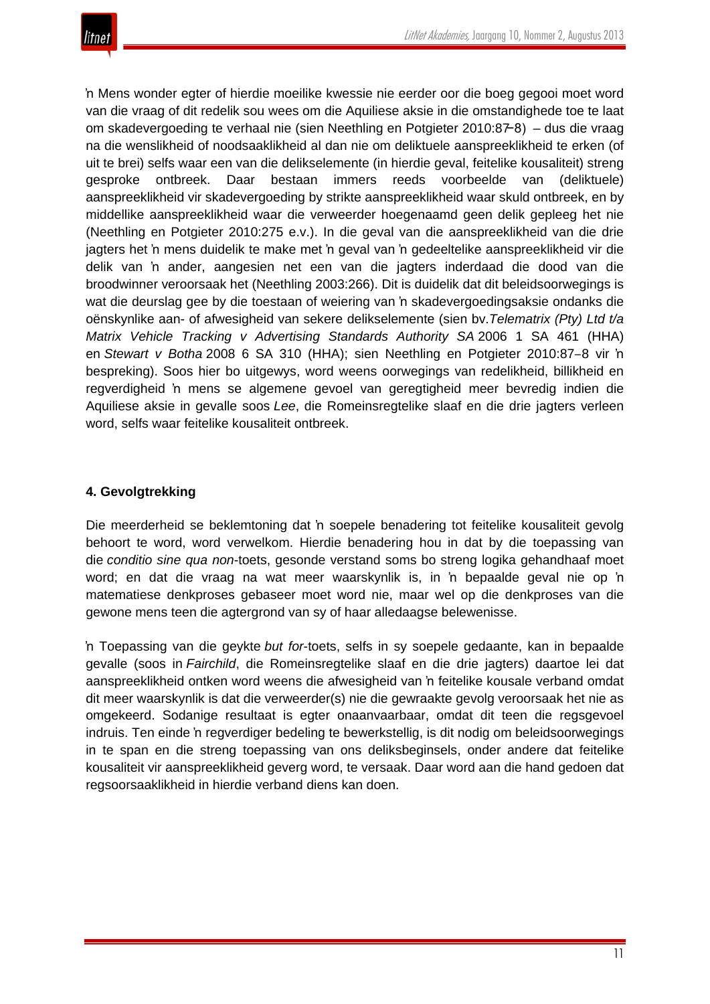

'n Mens wonder egter of hierdie moeilike kwessie nie eerder oor die boeg gegooi moet word van die vraag of dit redelik sou wees om die Aquiliese aksie in die omstandighede toe te laat om skadevergoeding te verhaal nie (sien Neethling en Potgieter 2010:87−8) – dus die vraag na die wenslikheid of noodsaaklikheid al dan nie om deliktuele aanspreeklikheid te erken (of uit te brei) selfs waar een van die delikselemente (in hierdie geval, feitelike kousaliteit) streng gesproke ontbreek. Daar bestaan immers reeds voorbeelde van (deliktuele) aanspreeklikheid vir skadevergoeding by strikte aanspreeklikheid waar skuld ontbreek, en by middellike aanspreeklikheid waar die verweerder hoegenaamd geen delik gepleeg het nie (Neethling en Potgieter 2010:275 e.v.). In die geval van die aanspreeklikheid van die drie jagters het 'n mens duidelik te make met 'n geval van 'n gedeeltelike aanspreeklikheid vir die delik van 'n ander, aangesien net een van die jagters inderdaad die dood van die broodwinner veroorsaak het (Neethling 2003:266). Dit is duidelik dat dit beleidsoorwegings is wat die deurslag gee by die toestaan of weiering van 'n skadevergoedingsaksie ondanks die oënskynlike aan- of afwesigheid van sekere delikselemente (sien bv.*Telematrix (Pty) Ltd t/a Matrix Vehicle Tracking v Advertising Standards Authority SA* 2006 1 SA 461 (HHA) en *Stewart v Botha* 2008 6 SA 310 (HHA); sien Neethling en Potgieter 2010:87‒8 vir 'n bespreking). Soos hier bo uitgewys, word weens oorwegings van redelikheid, billikheid en regverdigheid 'n mens se algemene gevoel van geregtigheid meer bevredig indien die Aquiliese aksie in gevalle soos *Lee*, die Romeinsregtelike slaaf en die drie jagters verleen word, selfs waar feitelike kousaliteit ontbreek.

#### **4. Gevolgtrekking**

Die meerderheid se beklemtoning dat 'n soepele benadering tot feitelike kousaliteit gevolg behoort te word, word verwelkom. Hierdie benadering hou in dat by die toepassing van die *conditio sine qua non*-toets, gesonde verstand soms bo streng logika gehandhaaf moet word; en dat die vraag na wat meer waarskynlik is, in 'n bepaalde geval nie op 'n matematiese denkproses gebaseer moet word nie, maar wel op die denkproses van die gewone mens teen die agtergrond van sy of haar alledaagse belewenisse.

'n Toepassing van die geykte *but for*-toets, selfs in sy soepele gedaante, kan in bepaalde gevalle (soos in *Fairchild*, die Romeinsregtelike slaaf en die drie jagters) daartoe lei dat aanspreeklikheid ontken word weens die afwesigheid van 'n feitelike kousale verband omdat dit meer waarskynlik is dat die verweerder(s) nie die gewraakte gevolg veroorsaak het nie as omgekeerd. Sodanige resultaat is egter onaanvaarbaar, omdat dit teen die regsgevoel indruis. Ten einde 'n regverdiger bedeling te bewerkstellig, is dit nodig om beleidsoorwegings in te span en die streng toepassing van ons deliksbeginsels, onder andere dat feitelike kousaliteit vir aanspreeklikheid geverg word, te versaak. Daar word aan die hand gedoen dat regsoorsaaklikheid in hierdie verband diens kan doen.